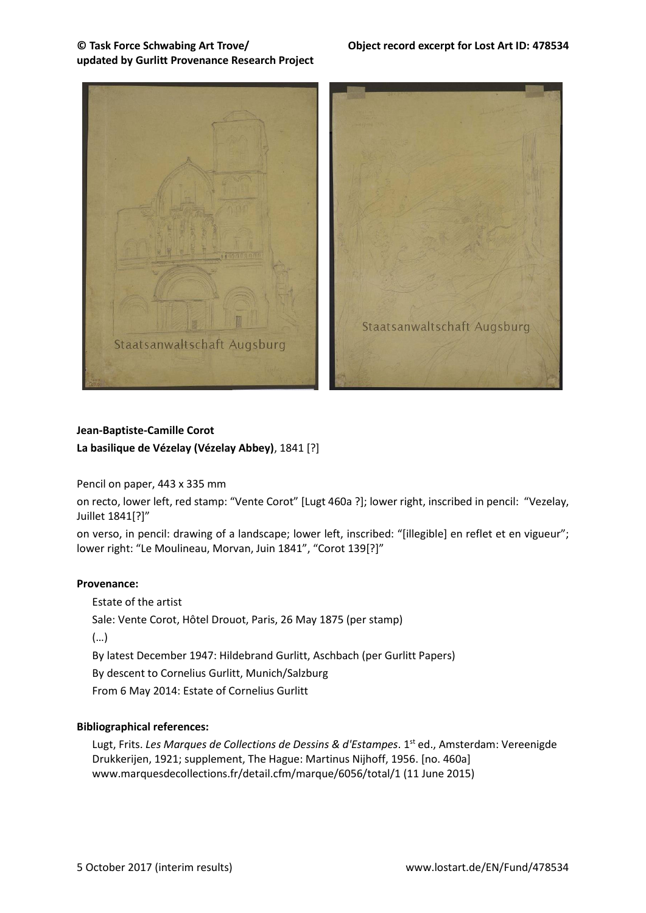## **© Task Force Schwabing Art Trove/ Object record excerpt for Lost Art ID: 478534 updated by Gurlitt Provenance Research Project**



# **Jean-Baptiste-Camille Corot**

**La basilique de Vézelay (Vézelay Abbey)**, 1841 [?]

Pencil on paper, 443 x 335 mm

on recto, lower left, red stamp: "Vente Corot" [Lugt 460a ?]; lower right, inscribed in pencil: "Vezelay, Juillet 1841[?]"

on verso, in pencil: drawing of a landscape; lower left, inscribed: "[illegible] en reflet et en vigueur"; lower right: "Le Moulineau, Morvan, Juin 1841", "Corot 139[?]"

# **Provenance:**

Estate of the artist

Sale: Vente Corot, Hôtel Drouot, Paris, 26 May 1875 (per stamp)

(…)

By latest December 1947: Hildebrand Gurlitt, Aschbach (per Gurlitt Papers)

By descent to Cornelius Gurlitt, Munich/Salzburg

From 6 May 2014: Estate of Cornelius Gurlitt

# **Bibliographical references:**

Lugt, Frits. Les Marques de Collections de Dessins & d'Estampes. 1<sup>st</sup> ed., Amsterdam: Vereenigde Drukkerijen, 1921; supplement, The Hague: Martinus Nijhoff, 1956. [no. 460a] www.marquesdecollections.fr/detail.cfm/marque/6056/total/1 (11 June 2015)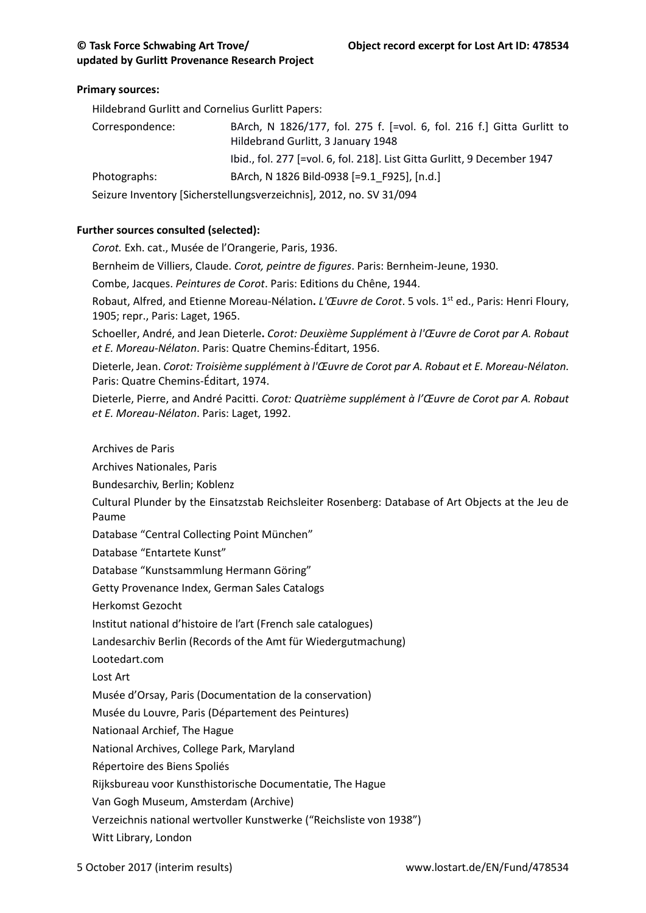#### **Primary sources:**

Hildebrand Gurlitt and Cornelius Gurlitt Papers: Correspondence: BArch, N 1826/177, fol. 275 f. [=vol. 6, fol. 216 f.] Gitta Gurlitt to Hildebrand Gurlitt, 3 January 1948 Ibid., fol. 277 [=vol. 6, fol. 218]. List Gitta Gurlitt, 9 December 1947 Photographs: BArch, N 1826 Bild-0938 [=9.1 F925], [n.d.] Seizure Inventory [Sicherstellungsverzeichnis], 2012, no. SV 31/094

### **Further sources consulted (selected):**

*Corot.* Exh. cat., Musée de l'Orangerie, Paris, 1936.

Bernheim de Villiers, Claude. *Corot, peintre de figures*. Paris: Bernheim-Jeune, 1930.

Combe, Jacques. *Peintures de Corot*. Paris: Editions du Chêne, 1944.

Robaut, Alfred, and Etienne Moreau-Nélation**.** *L'Œuvre de Corot*. 5 vols. 1 st ed., Paris: Henri Floury, 1905; repr., Paris: Laget, 1965.

Schoeller, André, and Jean Dieterle**.** *Corot: Deuxième Supplément à l'Œuvre de Corot par A. Robaut et E. Moreau-Nélaton*. Paris: Quatre Chemins-Éditart, 1956.

Dieterle, Jean. *Corot: Troisième supplément à l'Œuvre de Corot par A. Robaut et E. Moreau-Nélaton.* Paris: Quatre Chemins-Éditart, 1974.

Dieterle, Pierre, and André Pacitti. *Corot: Quatrième supplément à l'Œuvre de Corot par A. Robaut et E. Moreau-Nélaton*. Paris: Laget, 1992.

Archives de Paris

Archives Nationales, Paris

Bundesarchiv, Berlin; Koblenz

Cultural Plunder by the Einsatzstab Reichsleiter Rosenberg: Database of Art Objects at the Jeu de Paume

Database "Central Collecting Point München"

Database "Entartete Kunst"

Database "Kunstsammlung Hermann Göring"

Getty Provenance Index, German Sales Catalogs

Herkomst Gezocht

Institut national d'histoire de l'art (French sale catalogues)

Landesarchiv Berlin (Records of the Amt für Wiedergutmachung)

Lootedart.com

Lost Art

Musée d'Orsay, Paris (Documentation de la conservation)

Musée du Louvre, Paris (Département des Peintures)

Nationaal Archief, The Hague

National Archives, College Park, Maryland

Répertoire des Biens Spoliés

Rijksbureau voor Kunsthistorische Documentatie, The Hague

Van Gogh Museum, Amsterdam (Archive)

Verzeichnis national wertvoller Kunstwerke ("Reichsliste von 1938")

Witt Library, London